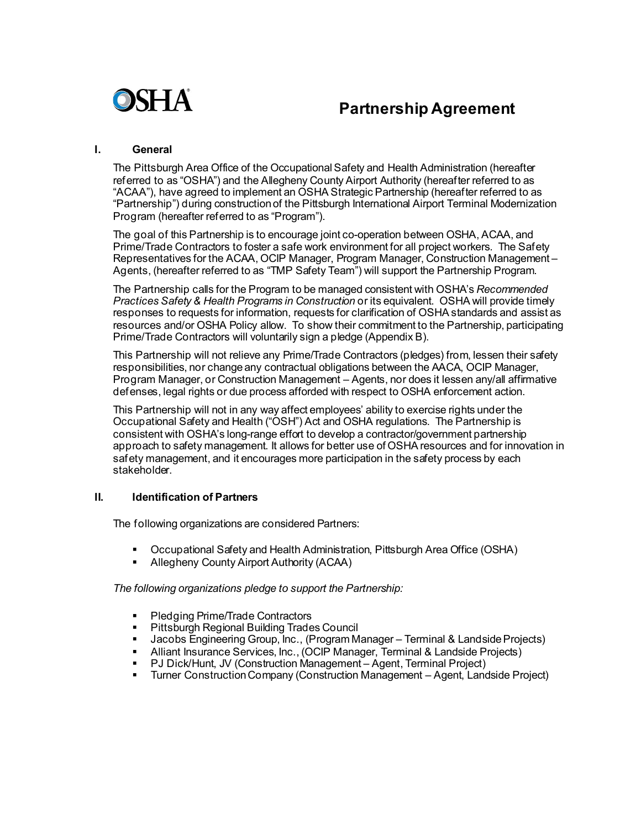

# **Partnership Agreement**

#### **I. General**

The Pittsburgh Area Office of the Occupational Safety and Health Administration (hereafter referred to as "OSHA") and the Allegheny County Airport Authority (hereafter referred to as "ACAA"), have agreed to implement an OSHA Strategic Partnership (hereafter referred to as "Partnership") during construction of the Pittsburgh International Airport Terminal Modernization Program (hereafter referred to as "Program").

The goal of this Partnership is to encourage joint co-operation between OSHA, ACAA, and Prime/Trade Contractors to foster a safe work environment for all project workers. The Safety Representatives for the ACAA, OCIP Manager, Program Manager, Construction Management – Agents, (hereafter referred to as "TMP Safety Team") will support the Partnership Program.

The Partnership calls for the Program to be managed consistent with OSHA's *Recommended Practices Safety & Health Programs in Construction* or its equivalent. OSHA will provide timely responses to requests for information, requests for clarification of OSHA standards and assist as resources and/or OSHA Policy allow. To show their commitment to the Partnership, participating Prime/Trade Contractors will voluntarily sign a pledge (Appendix B).

This Partnership will not relieve any Prime/Trade Contractors (pledges) from, lessen their safety responsibilities, nor change any contractual obligations between the AACA, OCIP Manager, Program Manager, or Construction Management – Agents, nor does it lessen any/all affirmative defenses, legal rights or due process afforded with respect to OSHA enforcement action.

This Partnership will not in any way affect employees' ability to exercise rights under the Occupational Safety and Health ("OSH") Act and OSHA regulations. The Partnership is consistent with OSHA's long-range effort to develop a contractor/government partnership approach to safety management. It allows for better use of OSHA resources and for innovation in safety management, and it encourages more participation in the safety process by each stakeholder.

# **II. Identification of Partners**

The following organizations are considered Partners:

- Occupational Safety and Health Administration, Pittsburgh Area Office (OSHA)
- Allegheny County Airport Authority (ACAA)

*The following organizations pledge to support the Partnership:*

- **Pledging Prime/Trade Contractors**
- **Pittsburgh Regional Building Trades Council**
- **Jacobs Engineering Group, Inc., (Program Manager Terminal & Landside Projects)**<br>Alliant Insurance Services Inc. (OCIP Manager Terminal & Landside Projects)
- Alliant Insurance Services, Inc., (OCIP Manager, Terminal & Landside Projects)
- PJ Dick/Hunt, JV (Construction Management Agent, Terminal Project)<br>■ Turner Construction Company (Construction Management Agent, Lang
- Turner Construction Company (Construction Management Agent, Landside Project)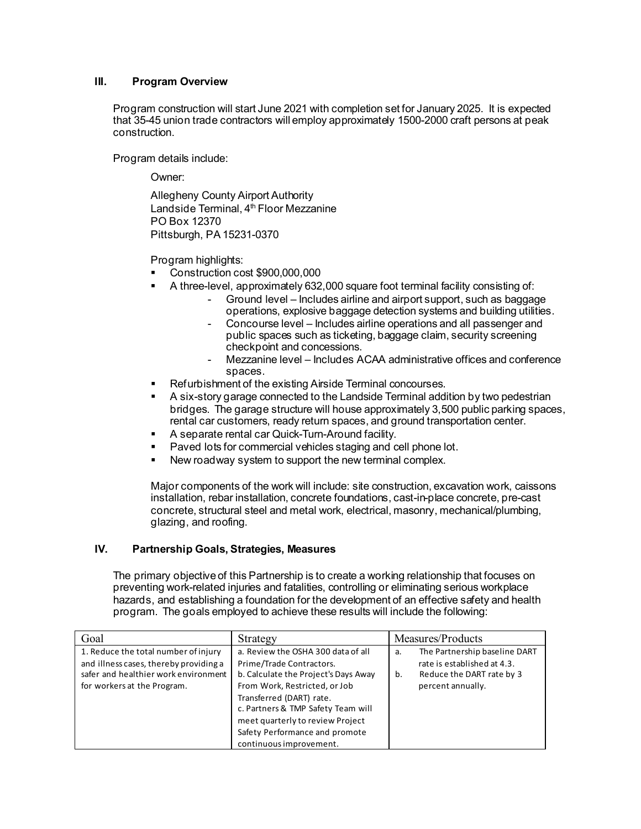# **III. Program Overview**

Program construction will start June 2021 with completion set for January 2025. It is expected that 35-45 union trade contractors will employ approximately 1500-2000 craft persons at peak construction.

Program details include:

Owner:

Allegheny County Airport Authority Landside Terminal, 4<sup>th</sup> Floor Mezzanine PO Box 12370 Pittsburgh, PA 15231-0370

Program highlights:

- Construction cost \$900,000,000
- A three-level, approximately 632,000 square foot terminal facility consisting of:
	- Ground level Includes airline and airport support, such as baggage operations, explosive baggage detection systems and building utilities.
	- Concourse level Includes airline operations and all passenger and public spaces such as ticketing, baggage claim, security screening checkpoint and concessions.
	- Mezzanine level Includes ACAA administrative offices and conference spaces.
- Refurbishment of the existing Airside Terminal concourses.
- A six-story garage connected to the Landside Terminal addition by two pedestrian bridges. The garage structure will house approximately 3,500 public parking spaces, rental car customers, ready return spaces, and ground transportation center.
- A separate rental car Quick-Turn-Around facility.
- Paved lots for commercial vehicles staging and cell phone lot.
- New roadway system to support the new terminal complex.

Major components of the work will include: site construction, excavation work, caissons installation, rebar installation, concrete foundations, cast-in-place concrete, pre-cast concrete, structural steel and metal work, electrical, masonry, mechanical/plumbing, glazing, and roofing.

# **IV. Partnership Goals, Strategies, Measures**

The primary objective of this Partnership is to create a working relationship that focuses on preventing work-related injuries and fatalities, controlling or eliminating serious workplace hazards, and establishing a foundation for the development of an effective safety and health program. The goals employed to achieve these results will include the following:

| Goal                                                                                                                                                  | Strategy                                                                                                                                                                                                                                                                                                   | Measures/Products                                                                                                          |
|-------------------------------------------------------------------------------------------------------------------------------------------------------|------------------------------------------------------------------------------------------------------------------------------------------------------------------------------------------------------------------------------------------------------------------------------------------------------------|----------------------------------------------------------------------------------------------------------------------------|
| 1. Reduce the total number of injury<br>and illness cases, thereby providing a<br>safer and healthier work environment<br>for workers at the Program. | a. Review the OSHA 300 data of all<br>Prime/Trade Contractors.<br>b. Calculate the Project's Days Away<br>From Work, Restricted, or Job<br>Transferred (DART) rate.<br>c. Partners & TMP Safety Team will<br>meet quarterly to review Project<br>Safety Performance and promote<br>continuous improvement. | The Partnership baseline DART<br>a.<br>rate is established at 4.3.<br>Reduce the DART rate by 3<br>b.<br>percent annually. |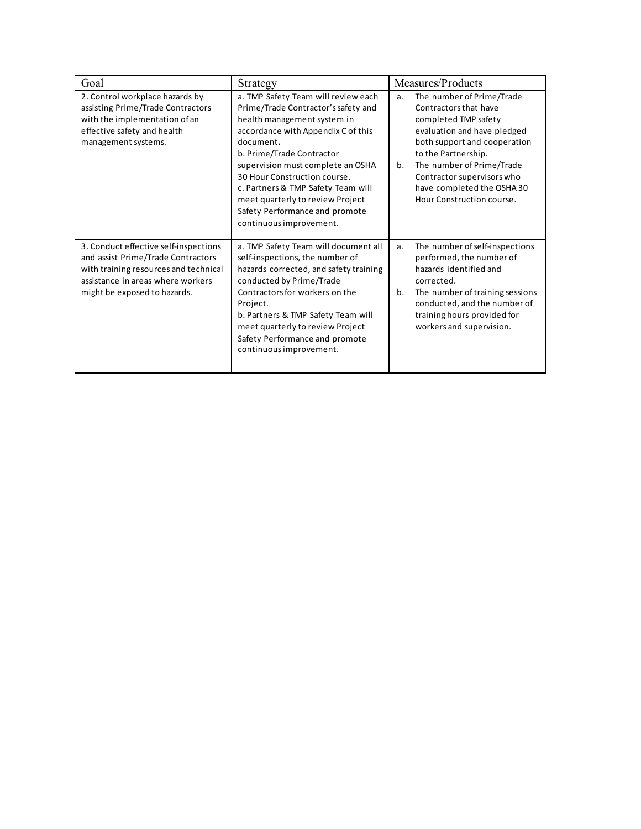| Goal                                                                                                                                                                                      | Strategy                                                                                                                                                                                                                                                                                                                                                                                              | Measures/Products                                                                                                                                                                                                                                                                                 |
|-------------------------------------------------------------------------------------------------------------------------------------------------------------------------------------------|-------------------------------------------------------------------------------------------------------------------------------------------------------------------------------------------------------------------------------------------------------------------------------------------------------------------------------------------------------------------------------------------------------|---------------------------------------------------------------------------------------------------------------------------------------------------------------------------------------------------------------------------------------------------------------------------------------------------|
| 2. Control workplace hazards by<br>assisting Prime/Trade Contractors<br>with the implementation of an<br>effective safety and health<br>management systems.                               | a. TMP Safety Team will review each<br>Prime/Trade Contractor's safety and<br>health management system in<br>accordance with Appendix C of this<br>document.<br>b. Prime/Trade Contractor<br>supervision must complete an OSHA<br>30 Hour Construction course.<br>c. Partners & TMP Safety Team will<br>meet quarterly to review Project<br>Safety Performance and promote<br>continuous improvement. | The number of Prime/Trade<br>a.<br>Contractors that have<br>completed TMP safety<br>evaluation and have pledged<br>both support and cooperation<br>to the Partnership.<br>The number of Prime/Trade<br>b.<br>Contractor supervisors who<br>have completed the OSHA30<br>Hour Construction course. |
| 3. Conduct effective self-inspections<br>and assist Prime/Trade Contractors<br>with training resources and technical<br>assistance in areas where workers<br>might be exposed to hazards. | a. TMP Safety Team will document all<br>self-inspections, the number of<br>hazards corrected, and safety training<br>conducted by Prime/Trade<br>Contractors for workers on the<br>Project.<br>b. Partners & TMP Safety Team will<br>meet quarterly to review Project<br>Safety Performance and promote<br>continuous improvement.                                                                    | The number of self-inspections<br>a.<br>performed, the number of<br>hazards identified and<br>corrected.<br>b.<br>The number of training sessions<br>conducted, and the number of<br>training hours provided for<br>workers and supervision.                                                      |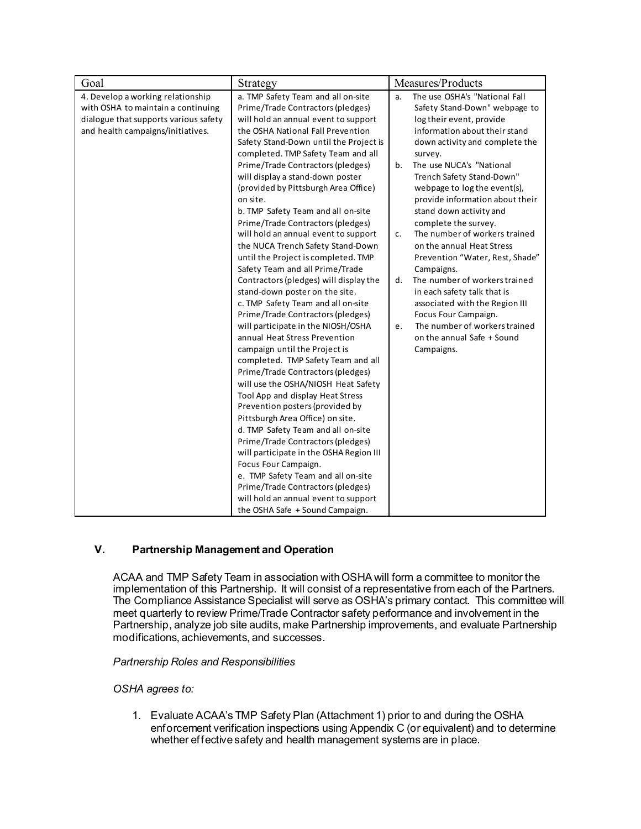| Goal                                                                                                                                                  | Strategy                                                                                                                                                                                                                                                                                                                                                                                                                                                                                                                                                                                                                                                                                                                                                                                                                                                                                      | Measures/Products                                                                                                                                                                                                                                                                                                                                                                                                                                                                                                         |
|-------------------------------------------------------------------------------------------------------------------------------------------------------|-----------------------------------------------------------------------------------------------------------------------------------------------------------------------------------------------------------------------------------------------------------------------------------------------------------------------------------------------------------------------------------------------------------------------------------------------------------------------------------------------------------------------------------------------------------------------------------------------------------------------------------------------------------------------------------------------------------------------------------------------------------------------------------------------------------------------------------------------------------------------------------------------|---------------------------------------------------------------------------------------------------------------------------------------------------------------------------------------------------------------------------------------------------------------------------------------------------------------------------------------------------------------------------------------------------------------------------------------------------------------------------------------------------------------------------|
| 4. Develop a working relationship<br>with OSHA to maintain a continuing<br>dialogue that supports various safety<br>and health campaigns/initiatives. | a. TMP Safety Team and all on-site<br>Prime/Trade Contractors (pledges)<br>will hold an annual event to support<br>the OSHA National Fall Prevention<br>Safety Stand-Down until the Project is<br>completed. TMP Safety Team and all                                                                                                                                                                                                                                                                                                                                                                                                                                                                                                                                                                                                                                                          | The use OSHA's "National Fall<br>a.<br>Safety Stand-Down" webpage to<br>log their event, provide<br>information about their stand<br>down activity and complete the<br>survey.                                                                                                                                                                                                                                                                                                                                            |
|                                                                                                                                                       | Prime/Trade Contractors (pledges)<br>will display a stand-down poster<br>(provided by Pittsburgh Area Office)<br>on site.<br>b. TMP Safety Team and all on-site<br>Prime/Trade Contractors (pledges)<br>will hold an annual event to support<br>the NUCA Trench Safety Stand-Down<br>until the Project is completed. TMP<br>Safety Team and all Prime/Trade<br>Contractors (pledges) will display the<br>stand-down poster on the site.<br>c. TMP Safety Team and all on-site<br>Prime/Trade Contractors (pledges)<br>will participate in the NIOSH/OSHA<br>annual Heat Stress Prevention<br>campaign until the Project is<br>completed. TMP Safety Team and all<br>Prime/Trade Contractors (pledges)<br>will use the OSHA/NIOSH Heat Safety<br>Tool App and display Heat Stress<br>Prevention posters (provided by<br>Pittsburgh Area Office) on site.<br>d. TMP Safety Team and all on-site | The use NUCA's "National<br>b.<br>Trench Safety Stand-Down"<br>webpage to log the event(s),<br>provide information about their<br>stand down activity and<br>complete the survey.<br>The number of workers trained<br>C.<br>on the annual Heat Stress<br>Prevention "Water, Rest, Shade"<br>Campaigns.<br>The number of workers trained<br>d.<br>in each safety talk that is<br>associated with the Region III<br>Focus Four Campaign.<br>The number of workers trained<br>e.<br>on the annual Safe + Sound<br>Campaigns. |
|                                                                                                                                                       | Prime/Trade Contractors (pledges)<br>will participate in the OSHA Region III<br>Focus Four Campaign.                                                                                                                                                                                                                                                                                                                                                                                                                                                                                                                                                                                                                                                                                                                                                                                          |                                                                                                                                                                                                                                                                                                                                                                                                                                                                                                                           |
|                                                                                                                                                       | e. TMP Safety Team and all on-site<br>Prime/Trade Contractors (pledges)<br>will hold an annual event to support                                                                                                                                                                                                                                                                                                                                                                                                                                                                                                                                                                                                                                                                                                                                                                               |                                                                                                                                                                                                                                                                                                                                                                                                                                                                                                                           |
|                                                                                                                                                       | the OSHA Safe + Sound Campaign.                                                                                                                                                                                                                                                                                                                                                                                                                                                                                                                                                                                                                                                                                                                                                                                                                                                               |                                                                                                                                                                                                                                                                                                                                                                                                                                                                                                                           |

# **V. Partnership Management and Operation**

ACAA and TMP Safety Team in association with OSHA will form a committee to monitor the implementation of this Partnership. It will consist of a representative from each of the Partners. The Compliance Assistance Specialist will serve as OSHA's primary contact. This committee will meet quarterly to review Prime/Trade Contractor safety performance and involvement in the Partnership, analyze job site audits, make Partnership improvements, and evaluate Partnership modifications, achievements, and successes.

*Partnership Roles and Responsibilities*

*OSHA agrees to:*

1. Evaluate ACAA's TMP Safety Plan (Attachment 1) prior to and during the OSHA enforcement verification inspections using Appendix C (or equivalent) and to determine whether effective safety and health management systems are in place.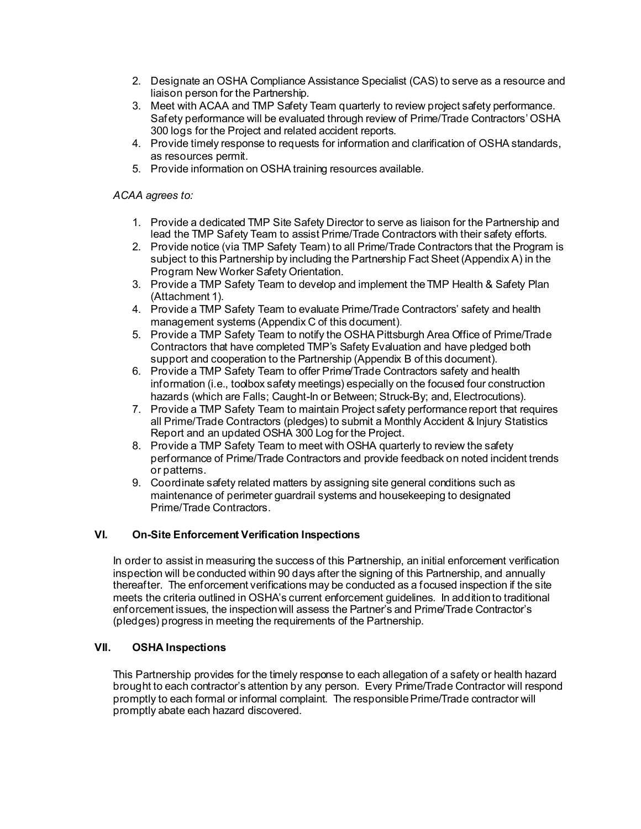- 2. Designate an OSHA Compliance Assistance Specialist (CAS) to serve as a resource and liaison person for the Partnership.
- 3. Meet with ACAA and TMP Safety Team quarterly to review project safety performance. Safety performance will be evaluated through review of Prime/Trade Contractors' OSHA 300 logs for the Project and related accident reports.
- 4. Provide timely response to requests for information and clarification of OSHA standards, as resources permit.
- 5. Provide information on OSHA training resources available.

# *ACAA agrees to:*

- 1. Provide a dedicated TMP Site Safety Director to serve as liaison for the Partnership and lead the TMP Safety Team to assist Prime/Trade Contractors with their safety efforts.
- 2. Provide notice (via TMP Safety Team) to all Prime/Trade Contractors that the Program is subject to this Partnership by including the Partnership Fact Sheet (Appendix A) in the Program New Worker Safety Orientation.
- 3. Provide a TMP Safety Team to develop and implement the TMP Health & Safety Plan (Attachment 1).
- 4. Provide a TMP Safety Team to evaluate Prime/Trade Contractors' safety and health management systems (Appendix C of this document).
- 5. Provide a TMP Safety Team to notify the OSHA Pittsburgh Area Office of Prime/Trade Contractors that have completed TMP's Safety Evaluation and have pledged both support and cooperation to the Partnership (Appendix B of this document).
- 6. Provide a TMP Safety Team to offer Prime/Trade Contractors safety and health information (i.e., toolbox safety meetings) especially on the focused four construction hazards (which are Falls; Caught-In or Between; Struck-By; and, Electrocutions).
- 7. Provide a TMP Safety Team to maintain Project safety performance report that requires all Prime/Trade Contractors (pledges) to submit a Monthly Accident & Injury Statistics Report and an updated OSHA 300 Log for the Project.
- 8. Provide a TMP Safety Team to meet with OSHA quarterly to review the safety performance of Prime/Trade Contractors and provide feedback on noted incident trends or patterns.
- 9. Coordinate safety related matters by assigning site general conditions such as maintenance of perimeter guardrail systems and housekeeping to designated Prime/Trade Contractors.

# **VI. On-Site Enforcement Verification Inspections**

In order to assist in measuring the success of this Partnership, an initial enforcement verification inspection will be conducted within 90 days after the signing of this Partnership, and annually thereafter. The enforcement verifications may be conducted as a focused inspection if the site meets the criteria outlined in OSHA's current enforcement guidelines. In addition to traditional enforcement issues, the inspection will assess the Partner's and Prime/Trade Contractor's (pledges) progress in meeting the requirements of the Partnership.

# **VII. OSHA Inspections**

This Partnership provides for the timely response to each allegation of a safety or health hazard brought to each contractor's attention by any person. Every Prime/Trade Contractor will respond promptly to each formal or informal complaint. The responsible Prime/Trade contractor will promptly abate each hazard discovered.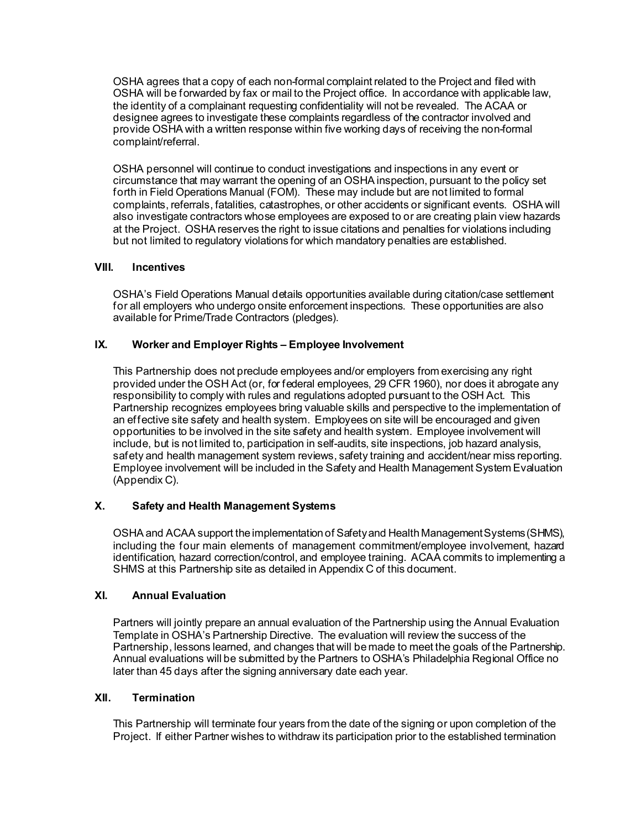OSHA agrees that a copy of each non-formal complaint related to the Project and filed with OSHA will be forwarded by fax or mail to the Project office. In accordance with applicable law, the identity of a complainant requesting confidentiality will not be revealed. The ACAA or designee agrees to investigate these complaints regardless of the contractor involved and provide OSHA with a written response within five working days of receiving the non-formal complaint/referral.

OSHA personnel will continue to conduct investigations and inspections in any event or circumstance that may warrant the opening of an OSHA inspection, pursuant to the policy set forth in Field Operations Manual (FOM). These may include but are not limited to formal complaints, referrals, fatalities, catastrophes, or other accidents or significant events. OSHA will also investigate contractors whose employees are exposed to or are creating plain view hazards at the Project. OSHA reserves the right to issue citations and penalties for violations including but not limited to regulatory violations for which mandatory penalties are established.

#### **VIII. Incentives**

OSHA's Field Operations Manual details opportunities available during citation/case settlement for all employers who undergo onsite enforcement inspections. These opportunities are also available for Prime/Trade Contractors (pledges).

#### **IX. Worker and Employer Rights – Employee Involvement**

This Partnership does not preclude employees and/or employers from exercising any right provided under the OSH Act (or, for federal employees, 29 CFR 1960), nor does it abrogate any responsibility to comply with rules and regulations adopted pursuant to the OSH Act. This Partnership recognizes employees bring valuable skills and perspective to the implementation of an effective site safety and health system. Employees on site will be encouraged and given opportunities to be involved in the site safety and health system. Employee involvement will include, but is not limited to, participation in self-audits, site inspections, job hazard analysis, safety and health management system reviews, safety training and accident/near miss reporting. Employee involvement will be included in the Safety and Health Management System Evaluation (Appendix C).

# **X. Safety and Health Management Systems**

OSHA and ACAA support the implementation of Safety and Health Management Systems (SHMS), including the four main elements of management commitment/employee involvement, hazard identification, hazard correction/control, and employee training. ACAA commits to implementing a SHMS at this Partnership site as detailed in Appendix C of this document.

# **XI. Annual Evaluation**

Partners will jointly prepare an annual evaluation of the Partnership using the Annual Evaluation Template in OSHA's Partnership Directive. The evaluation will review the success of the Partnership, lessons learned, and changes that will be made to meet the goals of the Partnership. Annual evaluations will be submitted by the Partners to OSHA's Philadelphia Regional Office no later than 45 days after the signing anniversary date each year.

#### **XII. Termination**

This Partnership will terminate four years from the date of the signing or upon completion of the Project. If either Partner wishes to withdraw its participation prior to the established termination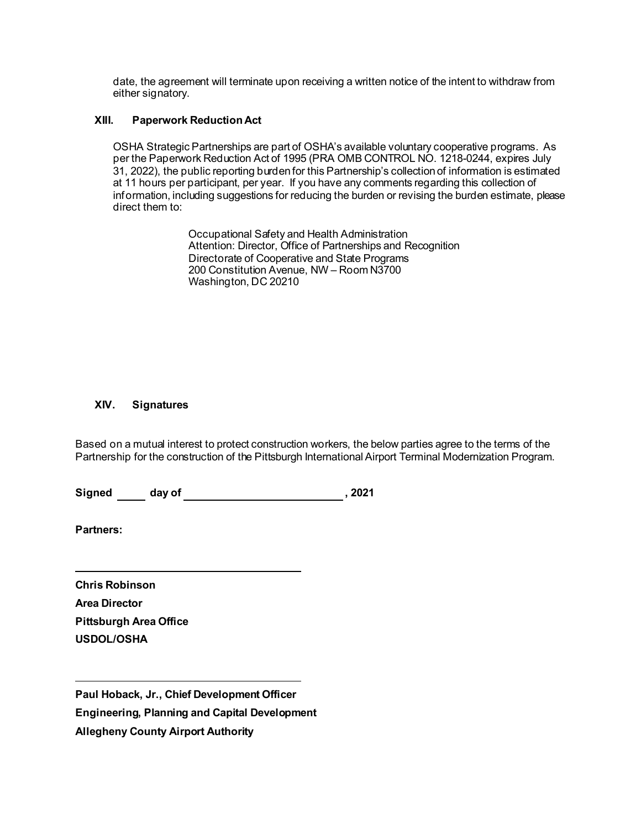date, the agreement will terminate upon receiving a written notice of the intent to withdraw from either signatory.

# **XIII. Paperwork Reduction Act**

OSHA Strategic Partnerships are part of OSHA's available voluntary cooperative programs. As per the Paperwork Reduction Act of 1995 (PRA OMB CONTROL NO. 1218-0244, expires July 31, 2022), the public reporting burden for this Partnership's collection of information is estimated at 11 hours per participant, per year. If you have any comments regarding this collection of information, including suggestions for reducing the burden or revising the burden estimate, please direct them to:

> Occupational Safety and Health Administration Attention: Director, Office of Partnerships and Recognition Directorate of Cooperative and State Programs 200 Constitution Avenue, NW – Room N3700 Washington, DC 20210

# **XIV. Signatures**

Based on a mutual interest to protect construction workers, the below parties agree to the terms of the Partnership for the construction of the Pittsburgh International Airport Terminal Modernization Program.

Signed day of 1992 and 2021

**Partners:** 

**Chris Robinson Area Director Pittsburgh Area Office USDOL/OSHA**

**Paul Hoback, Jr., Chief Development Officer Engineering, Planning and Capital Development Allegheny County Airport Authority**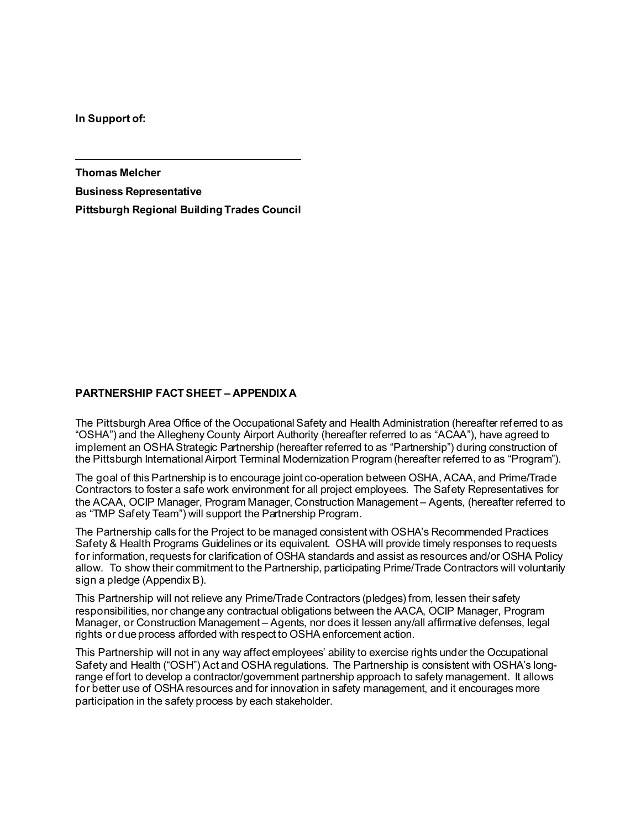**In Support of:**

**Thomas Melcher**

**Business Representative Pittsburgh Regional Building Trades Council**

# **PARTNERSHIP FACT SHEET – APPENDIX A**

The Pittsburgh Area Office of the Occupational Safety and Health Administration (hereafter referred to as "OSHA") and the Allegheny County Airport Authority (hereafter referred to as "ACAA"), have agreed to implement an OSHA Strategic Partnership (hereafter referred to as "Partnership") during construction of the Pittsburgh International Airport Terminal Modernization Program (hereafter referred to as "Program").

The goal of this Partnership is to encourage joint co-operation between OSHA, ACAA, and Prime/Trade Contractors to foster a safe work environment for all project employees. The Safety Representatives for the ACAA, OCIP Manager, Program Manager, Construction Management – Agents, (hereafter referred to as "TMP Safety Team") will support the Partnership Program.

The Partnership calls for the Project to be managed consistent with OSHA's Recommended Practices Safety & Health Programs Guidelines or its equivalent. OSHA will provide timely responses to requests for information, requests for clarification of OSHA standards and assist as resources and/or OSHA Policy allow. To show their commitment to the Partnership, participating Prime/Trade Contractors will voluntarily sign a pledge (Appendix B).

This Partnership will not relieve any Prime/Trade Contractors (pledges) from, lessen their safety responsibilities, nor change any contractual obligations between the AACA, OCIP Manager, Program Manager, or Construction Management – Agents, nor does it lessen any/all affirmative defenses, legal rights or due process afforded with respect to OSHA enforcement action.

This Partnership will not in any way affect employees' ability to exercise rights under the Occupational Safety and Health ("OSH") Act and OSHA regulations. The Partnership is consistent with OSHA's longrange effort to develop a contractor/government partnership approach to safety management. It allows for better use of OSHA resources and for innovation in safety management, and it encourages more participation in the safety process by each stakeholder.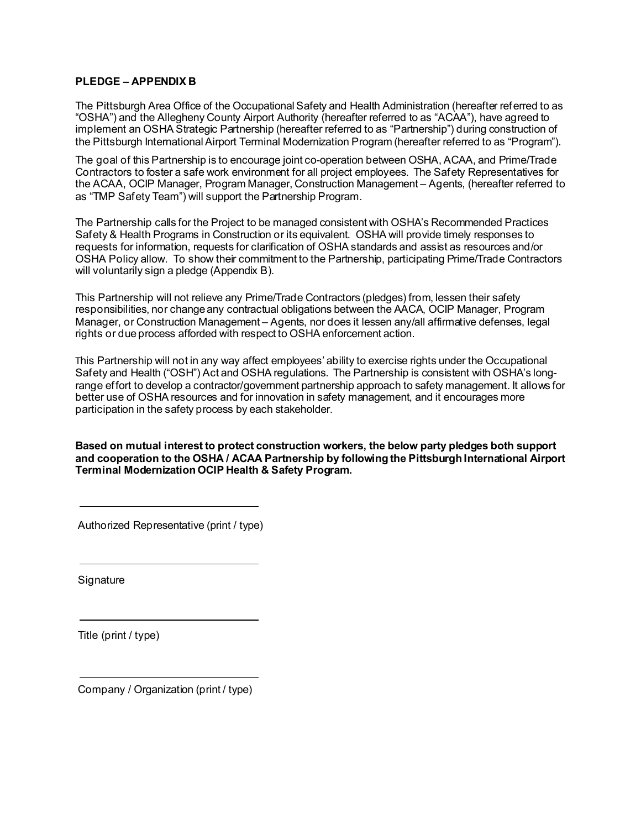#### **PLEDGE – APPENDIX B**

The Pittsburgh Area Office of the Occupational Safety and Health Administration (hereafter referred to as "OSHA") and the Allegheny County Airport Authority (hereafter referred to as "ACAA"), have agreed to implement an OSHA Strategic Partnership (hereafter referred to as "Partnership") during construction of the Pittsburgh International Airport Terminal Modernization Program (hereafter referred to as "Program").

The goal of this Partnership is to encourage joint co-operation between OSHA, ACAA, and Prime/Trade Contractors to foster a safe work environment for all project employees. The Safety Representatives for the ACAA, OCIP Manager, Program Manager, Construction Management – Agents, (hereafter referred to as "TMP Safety Team") will support the Partnership Program.

The Partnership calls for the Project to be managed consistent with OSHA's Recommended Practices Safety & Health Programs in Construction or its equivalent. OSHA will provide timely responses to requests for information, requests for clarification of OSHA standards and assist as resources and/or OSHA Policy allow. To show their commitment to the Partnership, participating Prime/Trade Contractors will voluntarily sign a pledge (Appendix B).

This Partnership will not relieve any Prime/Trade Contractors (pledges) from, lessen their safety responsibilities, nor change any contractual obligations between the AACA, OCIP Manager, Program Manager, or Construction Management – Agents, nor does it lessen any/all affirmative defenses, legal rights or due process afforded with respect to OSHA enforcement action.

This Partnership will not in any way affect employees' ability to exercise rights under the Occupational Safety and Health ("OSH") Act and OSHA regulations. The Partnership is consistent with OSHA's longrange effort to develop a contractor/government partnership approach to safety management. It allows for better use of OSHA resources and for innovation in safety management, and it encourages more participation in the safety process by each stakeholder.

**Based on mutual interest to protect construction workers, the below party pledges both support and cooperation to the OSHA / ACAA Partnership by following the Pittsburgh International Airport Terminal Modernization OCIP Health & Safety Program.** 

Authorized Representative (print / type)

**Signature** 

Title (print / type)

Company / Organization (print / type)